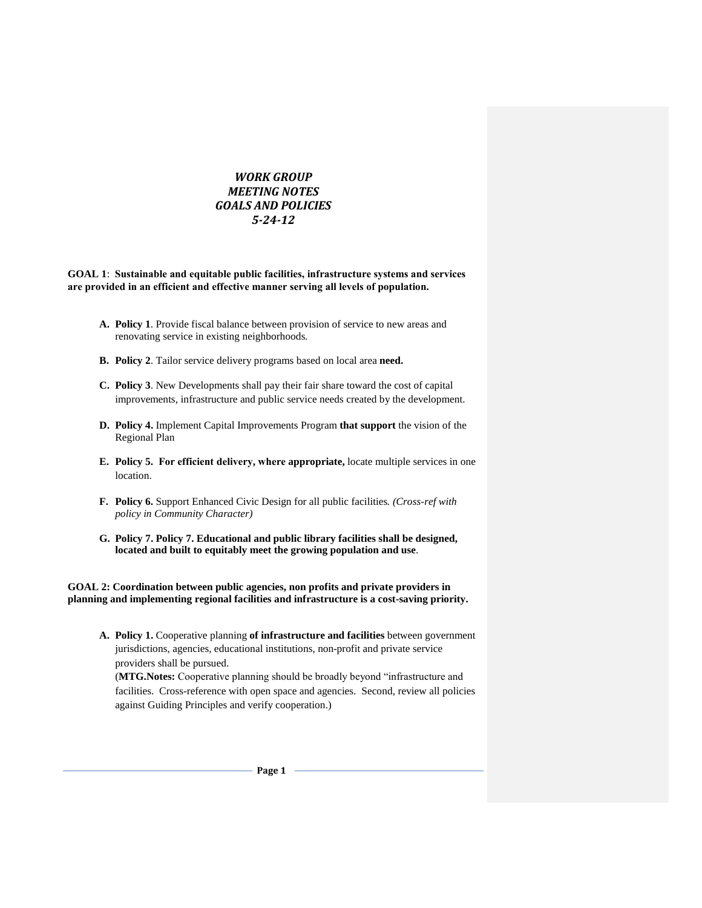## *WORK GROUP MEETING NOTES GOALS AND POLICIES 5-24-12*

**GOAL 1**: **Sustainable and equitable public facilities, infrastructure systems and services are provided in an efficient and effective manner serving all levels of population.**

- **A. Policy 1**. Provide fiscal balance between provision of service to new areas and renovating service in existing neighborhoods.
- **B. Policy 2**. Tailor service delivery programs based on local area **need.**
- **C. Policy 3**. New Developments shall pay their fair share toward the cost of capital improvements, infrastructure and public service needs created by the development.
- **D. Policy 4.** Implement Capital Improvements Program **that support** the vision of the Regional Plan
- **E. Policy 5. For efficient delivery, where appropriate,** locate multiple services in one location.
- **F. Policy 6.** Support Enhanced Civic Design for all public facilities*. (Cross-ref with policy in Community Character)*
- **G. Policy 7. Policy 7. Educational and public library facilities shall be designed, located and built to equitably meet the growing population and use**.

**GOAL 2: Coordination between public agencies, non profits and private providers in planning and implementing regional facilities and infrastructure is a cost-saving priority.**

**A. Policy 1.** Cooperative planning **of infrastructure and facilities** between government jurisdictions, agencies, educational institutions, non-profit and private service providers shall be pursued.

(**MTG.Notes:** Cooperative planning should be broadly beyond "infrastructure and facilities. Cross-reference with open space and agencies. Second, review all policies against Guiding Principles and verify cooperation.)

- Page 1 -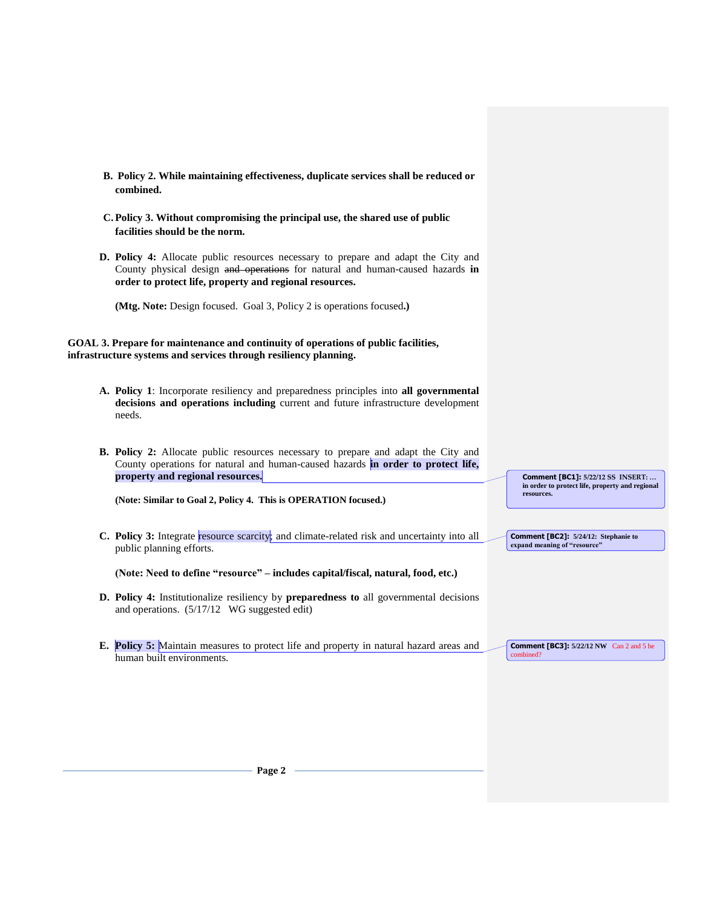**B. Policy 2. While maintaining effectiveness, duplicate services shall be reduced or combined. C.Policy 3. Without compromising the principal use, the shared use of public facilities should be the norm. D. Policy 4:** Allocate public resources necessary to prepare and adapt the City and County physical design and operations for natural and human-caused hazards **in order to protect life, property and regional resources. (Mtg. Note:** Design focused. Goal 3, Policy 2 is operations focused**.) GOAL 3. Prepare for maintenance and continuity of operations of public facilities, infrastructure systems and services through resiliency planning. A. Policy 1**: Incorporate resiliency and preparedness principles into **all governmental decisions and operations including** current and future infrastructure development needs. **B. Policy 2:** Allocate public resources necessary to prepare and adapt the City and County operations for natural and human-caused hazards **in order to protect life, property and regional resources. (Note: Similar to Goal 2, Policy 4. This is OPERATION focused.) C.** Policy 3: Integrate resource scarcity; and climate-related risk and uncertainty into all public planning efforts. **(Note: Need to define "resource" – includes capital/fiscal, natural, food, etc.) D. Policy 4:** Institutionalize resiliency by **preparedness to** all governmental decisions and operations.(5/17/12 WG suggested edit) **E. Policy 5:** Maintain measures to protect life and property in natural hazard areas and human built environments. **Comment [BC1]: 5/22/12 SS INSERT: … in order to protect life, property and regional resources. Comment [BC2]: 5/24/12: Stephanie to**  expand meaning of "resource" **Comment [BC3]: 5/22/12 NW** Can 2 and 5 be combined?